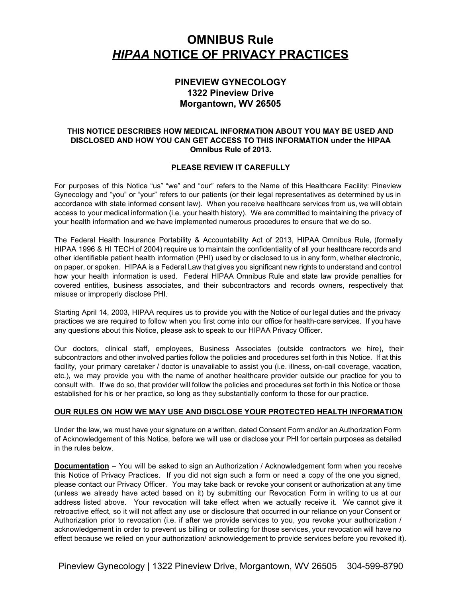# **OMNIBUS Rule** *HIPAA*  **NOTICE OF PRIVACY PRACTICES**

## **PINEVIEW GYNECOLOGY 1322 Pineview Drive Morgantown, WV 26505**

## **THIS NOTICE DESCRIBES HOW MEDICAL INFORMATION ABOUT YOU MAY BE USED AND DISCLOSED AND HOW YOU CAN GET ACCESS TO THIS INFORMATION under the HIPAA Omnibus Rule of 2013.**

## **PLEASE REVIEW IT CAREFULLY**

For purposes of this Notice "us" "we" and "our" refers to the Name of this Healthcare Facility: Pineview Gynecology and "you" or "your" refers to our patients (or their legal representatives as determined by us in accordance with state informed consent law). When you receive healthcare services from us, we will obtain access to your medical information (i.e. your health history). We are committed to maintaining the privacy of your health information and we have implemented numerous procedures to ensure that we do so.

The Federal Health Insurance Portability & Accountability Act of 2013, HIPAA Omnibus Rule, (formally HIPAA 1996 & HI TECH of 2004) require us to maintain the confidentiality of all your healthcare records and other identifiable patient health information (PHI) used by or disclosed to us in any form, whether electronic, on paper, or spoken. HIPAA is a Federal Law that gives you significant new rights to understand and control how your health information is used. Federal HIPAA Omnibus Rule and state law provide penalties for covered entities, business associates, and their subcontractors and records owners, respectively that misuse or improperly disclose PHI.

Starting April 14, 2003, HIPAA requires us to provide you with the Notice of our legal duties and the privacy practices we are required to follow when you first come into our office for health-care services. If you have any questions about this Notice, please ask to speak to our HIPAA Privacy Officer.

Our doctors, clinical staff, employees, Business Associates (outside contractors we hire), their subcontractors and other involved parties follow the policies and procedures set forth in this Notice. If at this facility, your primary caretaker / doctor is unavailable to assist you (i.e. illness, on-call coverage, vacation, etc.), we may provide you with the name of another healthcare provider outside our practice for you to consult with. If we do so, that provider will follow the policies and procedures set forth in this Notice or those established for his or her practice, so long as they substantially conform to those for our practice.

## **OUR RULES ON HOW WE MAY USE AND DISCLOSE YOUR PROTECTED HEALTH INFORMATION**

Under the law, we must have your signature on a written, dated Consent Form and/or an Authorization Form of Acknowledgement of this Notice, before we will use or disclose your PHI for certain purposes as detailed in the rules below.

**Documentation** – You will be asked to sign an Authorization / Acknowledgement form when you receive this Notice of Privacy Practices. If you did not sign such a form or need a copy of the one you signed, please contact our Privacy Officer. You may take back or revoke your consent or authorization at any time (unless we already have acted based on it) by submitting our Revocation Form in writing to us at our address listed above. Your revocation will take effect when we actually receive it. We cannot give it retroactive effect, so it will not affect any use or disclosure that occurred in our reliance on your Consent or Authorization prior to revocation (i.e. if after we provide services to you, you revoke your authorization / acknowledgement in order to prevent us billing or collecting for those services, your revocation will have no effect because we relied on your authorization/ acknowledgement to provide services before you revoked it).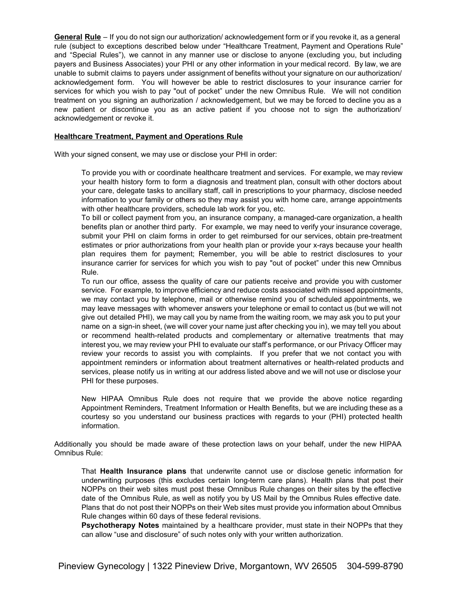**General Rule** – If you do not sign our authorization/ acknowledgement form or if you revoke it, as a general rule (subject to exceptions described below under "Healthcare Treatment, Payment and Operations Rule" and "Special Rules"), we cannot in any manner use or disclose to anyone (excluding you, but including payers and Business Associates) your PHI or any other information in your medical record. By law, we are unable to submit claims to payers under assignment of benefits without your signature on our authorization/ acknowledgement form. You will however be able to restrict disclosures to your insurance carrier for services for which you wish to pay "out of pocket" under the new Omnibus Rule. We will not condition treatment on you signing an authorization / acknowledgement, but we may be forced to decline you as a new patient or discontinue you as an active patient if you choose not to sign the authorization/ acknowledgement or revoke it.

#### **Healthcare Treatment, Payment and Operations Rule**

With your signed consent, we may use or disclose your PHI in order:

To provide you with or coordinate healthcare treatment and services. For example, we may review your health history form to form a diagnosis and treatment plan, consult with other doctors about your care, delegate tasks to ancillary staff, call in prescriptions to your pharmacy, disclose needed information to your family or others so they may assist you with home care, arrange appointments with other healthcare providers, schedule lab work for you, etc.

To bill or collect payment from you, an insurance company, a managed-care organization, a health benefits plan or another third party. For example, we may need to verify your insurance coverage, submit your PHI on claim forms in order to get reimbursed for our services, obtain pre-treatment estimates or prior authorizations from your health plan or provide your x-rays because your health plan requires them for payment; Remember, you will be able to restrict disclosures to your insurance carrier for services for which you wish to pay "out of pocket" under this new Omnibus Rule.

To run our office, assess the quality of care our patients receive and provide you with customer service. For example, to improve efficiency and reduce costs associated with missed appointments, we may contact you by telephone, mail or otherwise remind you of scheduled appointments, we may leave messages with whomever answers your telephone or email to contact us (but we will not give out detailed PHI), we may call you by name from the waiting room, we may ask you to put your name on a sign-in sheet, (we will cover your name just after checking you in), we may tell you about or recommend health-related products and complementary or alternative treatments that may interest you, we may review your PHI to evaluate our staff's performance, or our Privacy Officer may review your records to assist you with complaints. If you prefer that we not contact you with appointment reminders or information about treatment alternatives or health-related products and services, please notify us in writing at our address listed above and we will not use or disclose your PHI for these purposes.

New HIPAA Omnibus Rule does not require that we provide the above notice regarding Appointment Reminders, Treatment Information or Health Benefits, but we are including these as a courtesy so you understand our business practices with regards to your (PHI) protected health information.

Additionally you should be made aware of these protection laws on your behalf, under the new HIPAA Omnibus Rule:

That **Health Insurance plans** that underwrite cannot use or disclose genetic information for underwriting purposes (this excludes certain long-term care plans). Health plans that post their NOPPs on their web sites must post these Omnibus Rule changes on their sites by the effective date of the Omnibus Rule, as well as notify you by US Mail by the Omnibus Rules effective date. Plans that do not post their NOPPs on their Web sites must provide you information about Omnibus Rule changes within 60 days of these federal revisions.

**Psychotherapy Notes** maintained by a healthcare provider, must state in their NOPPs that they can allow "use and disclosure" of such notes only with your written authorization.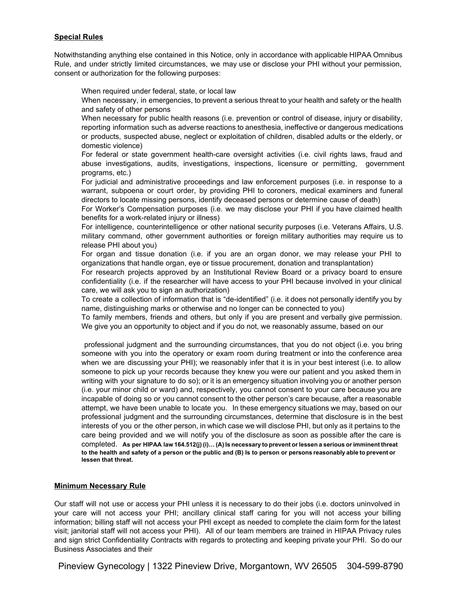## **Special Rules**

Notwithstanding anything else contained in this Notice, only in accordance with applicable HIPAA Omnibus Rule, and under strictly limited circumstances, we may use or disclose your PHI without your permission, consent or authorization for the following purposes:

When required under federal, state, or local law

When necessary, in emergencies, to prevent a serious threat to your health and safety or the health and safety of other persons

When necessary for public health reasons (i.e. prevention or control of disease, injury or disability, reporting information such as adverse reactions to anesthesia, ineffective or dangerous medications or products, suspected abuse, neglect or exploitation of children, disabled adults or the elderly, or domestic violence)

For federal or state government health-care oversight activities (i.e. civil rights laws, fraud and abuse investigations, audits, investigations, inspections, licensure or permitting, government programs, etc.)

For judicial and administrative proceedings and law enforcement purposes (i.e. in response to a warrant, subpoena or court order, by providing PHI to coroners, medical examiners and funeral directors to locate missing persons, identify deceased persons or determine cause of death)

For Worker's Compensation purposes (i.e. we may disclose your PHI if you have claimed health benefits for a work-related injury or illness)

For intelligence, counterintelligence or other national security purposes (i.e. Veterans Affairs, U.S. military command, other government authorities or foreign military authorities may require us to release PHI about you)

For organ and tissue donation (i.e. if you are an organ donor, we may release your PHI to organizations that handle organ, eye or tissue procurement, donation and transplantation)

For research projects approved by an Institutional Review Board or a privacy board to ensure confidentiality (i.e. if the researcher will have access to your PHI because involved in your clinical care, we will ask you to sign an authorization)

To create a collection of information that is "de-identified" (i.e. it does not personally identify you by name, distinguishing marks or otherwise and no longer can be connected to you)

To family members, friends and others, but only if you are present and verbally give permission. We give you an opportunity to object and if you do not, we reasonably assume, based on our

professional judgment and the surrounding circumstances, that you do not object (i.e. you bring someone with you into the operatory or exam room during treatment or into the conference area when we are discussing your PHI); we reasonably infer that it is in your best interest (i.e. to allow someone to pick up your records because they knew you were our patient and you asked them in writing with your signature to do so); or it is an emergency situation involving you or another person (i.e. your minor child or ward) and, respectively, you cannot consent to your care because you are incapable of doing so or you cannot consent to the other person's care because, after a reasonable attempt, we have been unable to locate you. In these emergency situations we may, based on our professional judgment and the surrounding circumstances, determine that disclosure is in the best interests of you or the other person, in which case we will disclose PHI, but only as it pertains to the care being provided and we will notify you of the disclosure as soon as possible after the care is completed. **As per HIPAA law 164.512(j) (i)… (A) Is necessary to prevent orlessen a serious orimminent threat** to the health and safety of a person or the public and (B) Is to person or persons reasonably able to prevent or **lessen that threat.**

## **Minimum Necessary Rule**

Our staff will not use or access your PHI unless it is necessary to do their jobs (i.e. doctors uninvolved in your care will not access your PHI; ancillary clinical staff caring for you will not access your billing information; billing staff will not access your PHI except as needed to complete the claim form for the latest visit; janitorial staff will not access your PHI). All of our team members are trained in HIPAA Privacy rules and sign strict Confidentiality Contracts with regards to protecting and keeping private your PHI. So do our Business Associates and their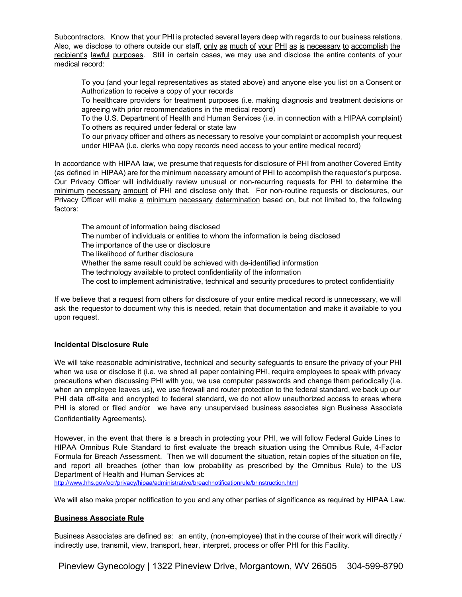Subcontractors. Know that your PHI is protected several layers deep with regards to our business relations. Also, we disclose to others outside our staff, only as much of your PHI as is necessary to accomplish the recipient's lawful purposes. Still in certain cases, we may use and disclose the entire contents of your medical record:

To you (and your legal representatives as stated above) and anyone else you list on a Consent or Authorization to receive a copy of your records

To healthcare providers for treatment purposes (i.e. making diagnosis and treatment decisions or agreeing with prior recommendations in the medical record)

To the U.S. Department of Health and Human Services (i.e. in connection with a HIPAA complaint) To others as required under federal or state law

To our privacy officer and others as necessary to resolve your complaint or accomplish your request under HIPAA (i.e. clerks who copy records need access to your entire medical record)

In accordance with HIPAA law, we presume that requests for disclosure of PHI from another Covered Entity (as defined in HIPAA) are for the minimum necessary amount of PHI to accomplish the requestor's purpose. Our Privacy Officer will individually review unusual or non-recurring requests for PHI to determine the minimum necessary amount of PHI and disclose only that. For non-routine requests or disclosures, our Privacy Officer will make a minimum necessary determination based on, but not limited to, the following factors:

The amount of information being disclosed The number of individuals or entities to whom the information is being disclosed The importance of the use or disclosure The likelihood of further disclosure Whether the same result could be achieved with de-identified information The technology available to protect confidentiality of the information The cost to implement administrative, technical and security procedures to protect confidentiality

If we believe that a request from others for disclosure of your entire medical record is unnecessary, we will ask the requestor to document why this is needed, retain that documentation and make it available to you upon request.

## **Incidental Disclosure Rule**

We will take reasonable administrative, technical and security safeguards to ensure the privacy of your PHI when we use or disclose it (i.e. we shred all paper containing PHI, require employees to speak with privacy precautions when discussing PHI with you, we use computer passwords and change them periodically (i.e. when an employee leaves us), we use firewall and router protection to the federal standard, we back up our PHI data off-site and encrypted to federal standard, we do not allow unauthorized access to areas where PHI is stored or filed and/or we have any unsupervised business associates sign Business Associate Confidentiality Agreements).

However, in the event that there is a breach in protecting your PHI, we will follow Federal Guide Lines to HIPAA Omnibus Rule Standard to first evaluate the breach situation using the Omnibus Rule, 4-Factor Formula for Breach Assessment. Then we will document the situation, retain copies of the situation on file, and report all breaches (other than low probability as prescribed by the Omnibus Rule) to the US Department of Health and Human Services at:

<http://www.hhs.gov/ocr/privacy/hipaa/administrative/breachnotificationrule/brinstruction.html>

We will also make proper notification to you and any other parties of significance as required by HIPAA Law.

## **Business Associate Rule**

Business Associates are defined as: an entity, (non-employee) that in the course of their work will directly / indirectly use, transmit, view, transport, hear, interpret, process or offer PHI for this Facility.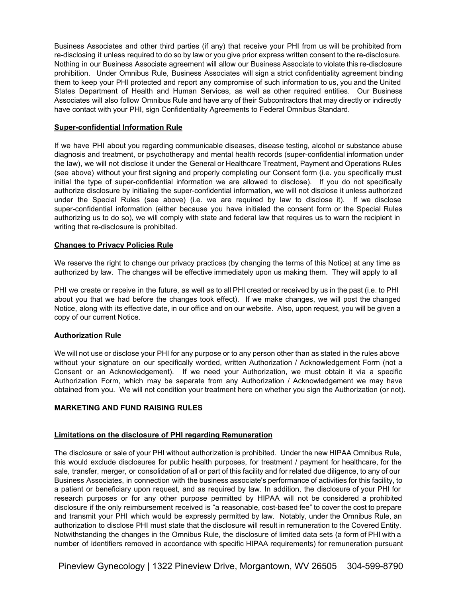Business Associates and other third parties (if any) that receive your PHI from us will be prohibited from re-disclosing it unless required to do so by law or you give prior express written consent to the re-disclosure. Nothing in our Business Associate agreement will allow our Business Associate to violate this re-disclosure prohibition. Under Omnibus Rule, Business Associates will sign a strict confidentiality agreement binding them to keep your PHI protected and report any compromise of such information to us, you and the United States Department of Health and Human Services, as well as other required entities. Our Business Associates will also follow Omnibus Rule and have any of their Subcontractors that may directly or indirectly have contact with your PHI, sign Confidentiality Agreements to Federal Omnibus Standard.

#### **Super-confidential Information Rule**

If we have PHI about you regarding communicable diseases, disease testing, alcohol or substance abuse diagnosis and treatment, or psychotherapy and mental health records (super-confidential information under the law), we will not disclose it under the General or Healthcare Treatment, Payment and Operations Rules (see above) without your first signing and properly completing our Consent form (i.e. you specifically must initial the type of super-confidential information we are allowed to disclose). If you do not specifically authorize disclosure by initialing the super-confidential information, we will not disclose it unless authorized under the Special Rules (see above) (i.e. we are required by law to disclose it). If we disclose super-confidential information (either because you have initialed the consent form or the Special Rules authorizing us to do so), we will comply with state and federal law that requires us to warn the recipient in writing that re-disclosure is prohibited.

## **Changes to Privacy Policies Rule**

We reserve the right to change our privacy practices (by changing the terms of this Notice) at any time as authorized by law. The changes will be effective immediately upon us making them. They will apply to all

PHI we create or receive in the future, as well as to all PHI created or received by us in the past (i.e. to PHI about you that we had before the changes took effect). If we make changes, we will post the changed Notice, along with its effective date, in our office and on our website. Also, upon request, you will be given a copy of our current Notice.

## **Authorization Rule**

We will not use or disclose your PHI for any purpose or to any person other than as stated in the rules above without your signature on our specifically worded, written Authorization / Acknowledgement Form (not a Consent or an Acknowledgement). If we need your Authorization, we must obtain it via a specific Authorization Form, which may be separate from any Authorization / Acknowledgement we may have obtained from you. We will not condition your treatment here on whether you sign the Authorization (or not).

## **MARKETING AND FUND RAISING RULES**

#### **Limitations on the disclosure of PHI regarding Remuneration**

The disclosure or sale of your PHI without authorization is prohibited. Under the new HIPAA Omnibus Rule, this would exclude disclosures for public health purposes, for treatment / payment for healthcare, for the sale, transfer, merger, or consolidation of all or part of this facility and for related due diligence, to any of our Business Associates, in connection with the business associate's performance of activities for this facility, to a patient or beneficiary upon request, and as required by law. In addition, the disclosure of your PHI for research purposes or for any other purpose permitted by HIPAA will not be considered a prohibited disclosure if the only reimbursement received is "a reasonable, cost-based fee" to cover the cost to prepare and transmit your PHI which would be expressly permitted by law. Notably, under the Omnibus Rule, an authorization to disclose PHI must state that the disclosure will result in remuneration to the Covered Entity. Notwithstanding the changes in the Omnibus Rule, the disclosure of limited data sets (a form of PHI with a number of identifiers removed in accordance with specific HIPAA requirements) for remuneration pursuant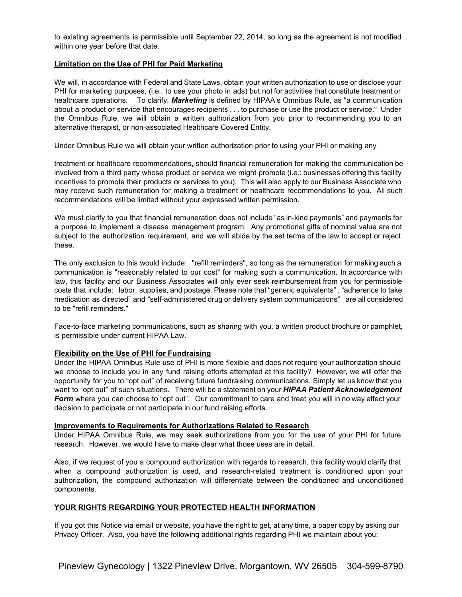to existing agreements is permissible until September 22, 2014, so long as the agreement is not modified within one year before that date.

## **Limitation on the Use of PHI for Paid Marketing**

We will, in accordance with Federal and State Laws, obtain your written authorization to use or disclose your PHI for marketing purposes, (i.e.: to use your photo in ads) but not for activities that constitute treatment or healthcare operations. To clarify, *Marketing* is defined by HIPAA's Omnibus Rule, as "a communication about a product or service that encourages recipients . . . to purchase or use the product or service." Under the Omnibus Rule, we will obtain a written authorization from you prior to recommending you to an alternative therapist, or non-associated Healthcare Covered Entity.

Under Omnibus Rule we will obtain your written authorization prior to using your PHI or making any

treatment or healthcare recommendations, should financial remuneration for making the communication be involved from a third party whose product or service we might promote (i.e.: businesses offering this facility incentives to promote their products or services to you). This will also apply to our Business Associate who may receive such remuneration for making a treatment or healthcare recommendations to you. All such recommendations will be limited without your expressed written permission.

We must clarify to you that financial remuneration does not include "as in-kind payments" and payments for a purpose to implement a disease management program. Any promotional gifts of nominal value are not subject to the authorization requirement, and we will abide by the set terms of the law to accept or reject these.

The only exclusion to this would include: "refill reminders", so long as the remuneration for making such a communication is "reasonably related to our cost" for making such a communication. In accordance with law, this facility and our Business Associates will only ever seek reimbursement from you for permissible costs that include: labor, supplies, and postage. Please note that "generic equivalents" , "adherence to take medication as directed" and "self-administered drug or delivery system communications" are all considered to be "refill reminders."

Face-to-face marketing communications, such as sharing with you, a written product brochure or pamphlet, is permissible under current HIPAA Law.

#### **Flexibility on the Use of PHI for Fundraising**

Under the HIPAA Omnibus Rule use of PHI is more flexible and does not require your authorization should we choose to include you in any fund raising efforts attempted at this facility? However, we will offer the opportunity for you to "opt out" of receiving future fundraising communications. Simply let us know that you want to "opt out" of such situations. There will be a statement on your *HIPAA Patient Acknowledgement Form* where you can choose to "opt out". Our commitment to care and treat you will in no way effect your decision to participate or not participate in our fund raising efforts.

#### **Improvements to Requirements for Authorizations Related to Research**

Under HIPAA Omnibus Rule, we may seek authorizations from you for the use of your PHI for future research. However, we would have to make clear what those uses are in detail.

Also, if we request of you a compound authorization with regards to research, this facility would clarify that when a compound authorization is used, and research-related treatment is conditioned upon your authorization, the compound authorization will differentiate between the conditioned and unconditioned components.

## **YOUR RIGHTS REGARDING YOUR PROTECTED HEALTH INFORMATION**

If you got this Notice via email or website, you have the right to get, at any time, a paper copy by asking our Privacy Officer. Also, you have the following additional rights regarding PHI we maintain about you: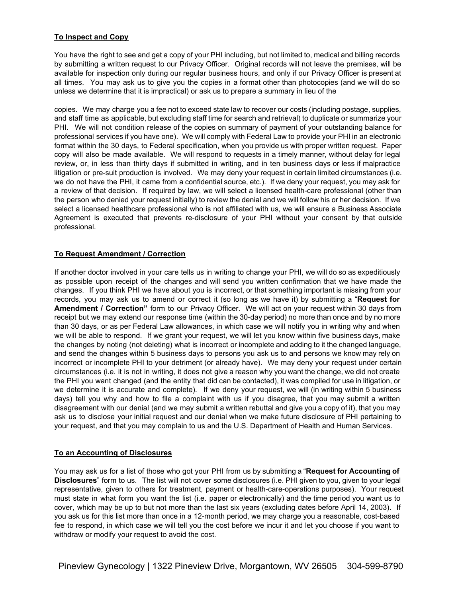## **To Inspect and Copy**

You have the right to see and get a copy of your PHI including, but not limited to, medical and billing records by submitting a written request to our Privacy Officer. Original records will not leave the premises, will be available for inspection only during our regular business hours, and only if our Privacy Officer is present at all times. You may ask us to give you the copies in a format other than photocopies (and we will do so unless we determine that it is impractical) or ask us to prepare a summary in lieu of the

copies. We may charge you a fee not to exceed state law to recover our costs (including postage, supplies, and staff time as applicable, but excluding staff time for search and retrieval) to duplicate or summarize your PHI. We will not condition release of the copies on summary of payment of your outstanding balance for professional services if you have one). We will comply with Federal Law to provide your PHI in an electronic format within the 30 days, to Federal specification, when you provide us with proper written request. Paper copy will also be made available. We will respond to requests in a timely manner, without delay for legal review, or, in less than thirty days if submitted in writing, and in ten business days or less if malpractice litigation or pre-suit production is involved. We may deny your request in certain limited circumstances (i.e. we do not have the PHI, it came from a confidential source, etc.). If we deny your request, you may ask for a review of that decision. If required by law, we will select a licensed health-care professional (other than the person who denied your request initially) to review the denial and we will follow his or her decision. If we select a licensed healthcare professional who is not affiliated with us, we will ensure a Business Associate Agreement is executed that prevents re-disclosure of your PHI without your consent by that outside professional.

## **To Request Amendment / Correction**

If another doctor involved in your care tells us in writing to change your PHI, we will do so as expeditiously as possible upon receipt of the changes and will send you written confirmation that we have made the changes. If you think PHI we have about you is incorrect, or that something important is missing from your records, you may ask us to amend or correct it (so long as we have it) by submitting a "**Request for Amendment / Correction"** form to our Privacy Officer. We will act on your request within 30 days from receipt but we may extend our response time (within the 30-day period) no more than once and by no more than 30 days, or as per Federal Law allowances, in which case we will notify you in writing why and when we will be able to respond. If we grant your request, we will let you know within five business days, make the changes by noting (not deleting) what is incorrect or incomplete and adding to it the changed language, and send the changes within 5 business days to persons you ask us to and persons we know may rely on incorrect or incomplete PHI to your detriment (or already have). We may deny your request under certain circumstances (i.e. it is not in writing, it does not give a reason why you want the change, we did not create the PHI you want changed (and the entity that did can be contacted), it was compiled for use in litigation, or we determine it is accurate and complete). If we deny your request, we will (in writing within 5 business days) tell you why and how to file a complaint with us if you disagree, that you may submit a written disagreement with our denial (and we may submit a written rebuttal and give you a copy of it), that you may ask us to disclose your initial request and our denial when we make future disclosure of PHI pertaining to your request, and that you may complain to us and the U.S. Department of Health and Human Services.

## **To an Accounting of Disclosures**

You may ask us for a list of those who got your PHI from us by submitting a "**Request for Accounting of Disclosures**" form to us. The list will not cover some disclosures (i.e. PHI given to you, given to your legal representative, given to others for treatment, payment or health-care-operations purposes). Your request must state in what form you want the list (i.e. paper or electronically) and the time period you want us to cover, which may be up to but not more than the last six years (excluding dates before April 14, 2003). If you ask us for this list more than once in a 12-month period, we may charge you a reasonable, cost-based fee to respond, in which case we will tell you the cost before we incur it and let you choose if you want to withdraw or modify your request to avoid the cost.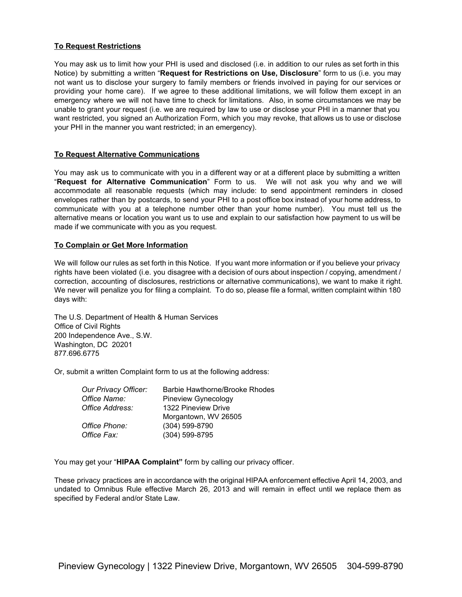## **To Request Restrictions**

You may ask us to limit how your PHI is used and disclosed (i.e. in addition to our rules as set forth in this Notice) by submitting a written "**Request for Restrictions on Use, Disclosure**" form to us (i.e. you may not want us to disclose your surgery to family members or friends involved in paying for our services or providing your home care). If we agree to these additional limitations, we will follow them except in an emergency where we will not have time to check for limitations. Also, in some circumstances we may be unable to grant your request (i.e. we are required by law to use or disclose your PHI in a manner that you want restricted, you signed an Authorization Form, which you may revoke, that allows us to use or disclose your PHI in the manner you want restricted; in an emergency).

## **To Request Alternative Communications**

You may ask us to communicate with you in a different way or at a different place by submitting a written "**Request for Alternative Communication**" Form to us. We will not ask you why and we will accommodate all reasonable requests (which may include: to send appointment reminders in closed envelopes rather than by postcards, to send your PHI to a post office box instead of your home address, to communicate with you at a telephone number other than your home number). You must tell us the alternative means or location you want us to use and explain to our satisfaction how payment to us will be made if we communicate with you as you request.

## **To Complain or Get More Information**

We will follow our rules as set forth in this Notice. If you want more information or if you believe your privacy rights have been violated (i.e. you disagree with a decision of ours about inspection / copying, amendment / correction, accounting of disclosures, restrictions or alternative communications), we want to make it right. We never will penalize you for filing a complaint. To do so, please file a formal, written complaint within 180 days with:

The U.S. Department of Health & Human Services Office of Civil Rights 200 Independence Ave., S.W. Washington, DC 20201 877.696.6775

Or, submit a written Complaint form to us at the following address:

| Our Privacy Officer: | Barbie Hawthorne/Brooke Rhodes |
|----------------------|--------------------------------|
| Office Name:         | Pineview Gynecology            |
| Office Address:      | 1322 Pineview Drive            |
|                      | Morgantown, WV 26505           |
| Office Phone:        | $(304)$ 599-8790               |
| Office Fax:          | (304) 599-8795                 |

You may get your "**HIPAA Complaint"** form by calling our privacy officer.

These privacy practices are in accordance with the original HIPAA enforcement effective April 14, 2003, and undated to Omnibus Rule effective March 26, 2013 and will remain in effect until we replace them as specified by Federal and/or State Law.